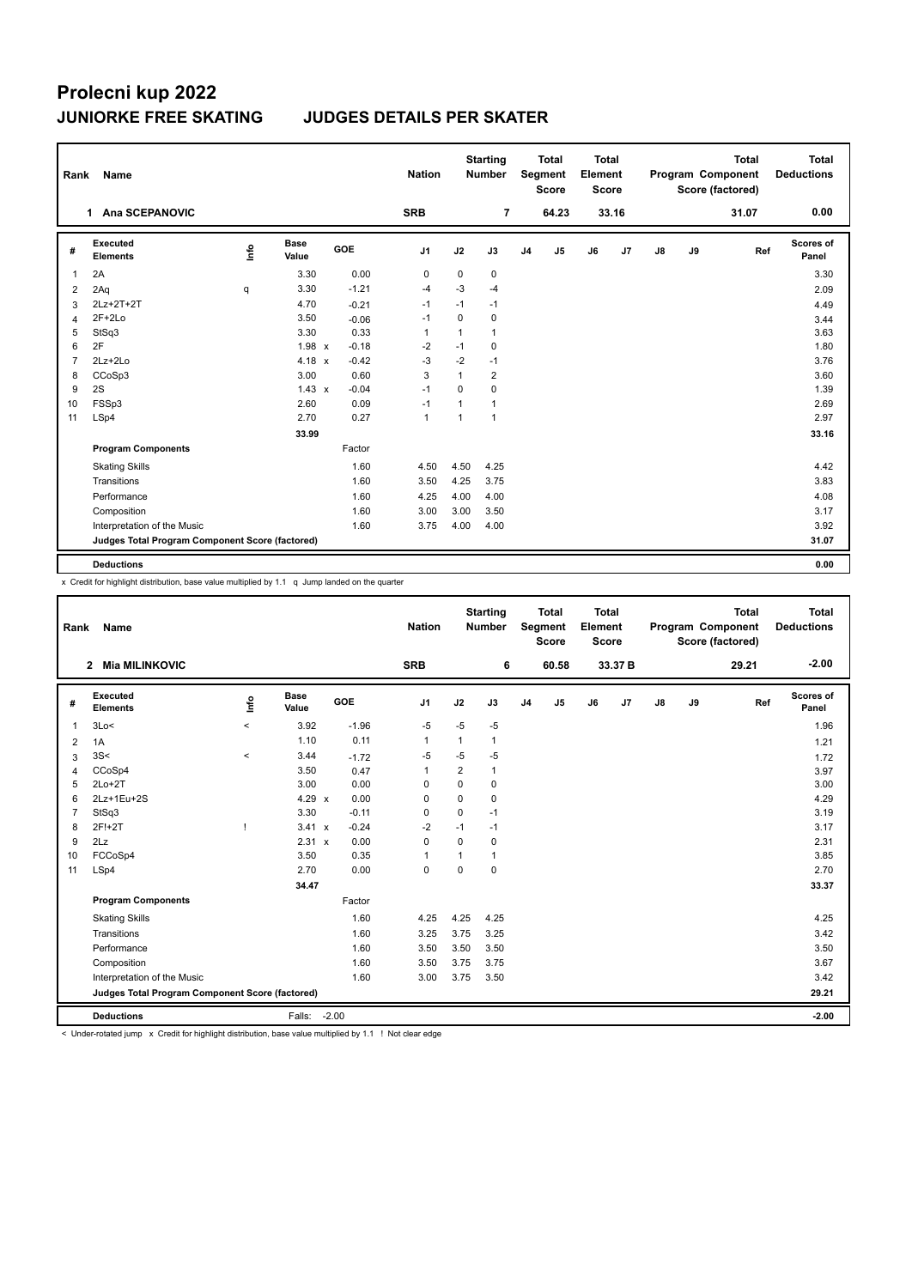# **Prolecni kup 2022**

### **JUNIORKE FREE SKATING JUDGES DETAILS PER SKATER**

|                | Rank<br>Name                                    |      |                      |         |                |             | <b>Starting</b><br><b>Number</b> |                | <b>Total</b><br>Segment<br><b>Score</b> |    | <b>Total</b><br>Element<br><b>Score</b> |               |    | <b>Total</b><br>Program Component<br>Score (factored) | <b>Total</b><br><b>Deductions</b> |
|----------------|-------------------------------------------------|------|----------------------|---------|----------------|-------------|----------------------------------|----------------|-----------------------------------------|----|-----------------------------------------|---------------|----|-------------------------------------------------------|-----------------------------------|
|                | Ana SCEPANOVIC<br>1                             |      |                      |         | <b>SRB</b>     |             | $\overline{7}$                   |                | 64.23                                   |    | 33.16                                   |               |    | 31.07                                                 | 0.00                              |
| #              | Executed<br><b>Elements</b>                     | lnfo | <b>Base</b><br>Value | GOE     | J <sub>1</sub> | J2          | J3                               | J <sub>4</sub> | J <sub>5</sub>                          | J6 | J7                                      | $\mathsf{J}8$ | J9 | Ref                                                   | <b>Scores of</b><br>Panel         |
| 1              | 2A                                              |      | 3.30                 | 0.00    | $\mathbf 0$    | $\mathbf 0$ | $\mathbf 0$                      |                |                                         |    |                                         |               |    |                                                       | 3.30                              |
| 2              | 2Aq                                             | q    | 3.30                 | $-1.21$ | $-4$           | $-3$        | $-4$                             |                |                                         |    |                                         |               |    |                                                       | 2.09                              |
| 3              | 2Lz+2T+2T                                       |      | 4.70                 | $-0.21$ | $-1$           | $-1$        | $-1$                             |                |                                         |    |                                         |               |    |                                                       | 4.49                              |
| $\overline{4}$ | $2F+2Lo$                                        |      | 3.50                 | $-0.06$ | $-1$           | $\Omega$    | 0                                |                |                                         |    |                                         |               |    |                                                       | 3.44                              |
| 5              | StSq3                                           |      | 3.30                 | 0.33    | $\mathbf{1}$   | 1           | $\mathbf{1}$                     |                |                                         |    |                                         |               |    |                                                       | 3.63                              |
| 6              | 2F                                              |      | $1.98 \times$        | $-0.18$ | $-2$           | $-1$        | 0                                |                |                                         |    |                                         |               |    |                                                       | 1.80                              |
| $\overline{7}$ | $2Lz+2Lo$                                       |      | $4.18 \times$        | $-0.42$ | $-3$           | $-2$        | $-1$                             |                |                                         |    |                                         |               |    |                                                       | 3.76                              |
| 8              | CCoSp3                                          |      | 3.00                 | 0.60    | 3              | 1           | $\overline{2}$                   |                |                                         |    |                                         |               |    |                                                       | 3.60                              |
| 9              | 2S                                              |      | $1.43 \times$        | $-0.04$ | $-1$           | $\mathbf 0$ | $\mathbf 0$                      |                |                                         |    |                                         |               |    |                                                       | 1.39                              |
| 10             | FSSp3                                           |      | 2.60                 | 0.09    | $-1$           | 1           | $\mathbf{1}$                     |                |                                         |    |                                         |               |    |                                                       | 2.69                              |
| 11             | LSp4                                            |      | 2.70                 | 0.27    | $\overline{1}$ | 1           | $\mathbf{1}$                     |                |                                         |    |                                         |               |    |                                                       | 2.97                              |
|                |                                                 |      | 33.99                |         |                |             |                                  |                |                                         |    |                                         |               |    |                                                       | 33.16                             |
|                | <b>Program Components</b>                       |      |                      | Factor  |                |             |                                  |                |                                         |    |                                         |               |    |                                                       |                                   |
|                | <b>Skating Skills</b>                           |      |                      | 1.60    | 4.50           | 4.50        | 4.25                             |                |                                         |    |                                         |               |    |                                                       | 4.42                              |
|                | Transitions                                     |      |                      | 1.60    | 3.50           | 4.25        | 3.75                             |                |                                         |    |                                         |               |    |                                                       | 3.83                              |
|                | Performance                                     |      |                      | 1.60    | 4.25           | 4.00        | 4.00                             |                |                                         |    |                                         |               |    |                                                       | 4.08                              |
|                | Composition                                     |      |                      | 1.60    | 3.00           | 3.00        | 3.50                             |                |                                         |    |                                         |               |    |                                                       | 3.17                              |
|                | Interpretation of the Music                     |      |                      | 1.60    | 3.75           | 4.00        | 4.00                             |                |                                         |    |                                         |               |    |                                                       | 3.92                              |
|                | Judges Total Program Component Score (factored) |      |                      |         |                |             |                                  |                |                                         |    |                                         |               |    |                                                       | 31.07                             |
|                | <b>Deductions</b>                               |      |                      |         |                |             |                                  |                |                                         |    |                                         |               |    |                                                       | 0.00                              |

x Credit for highlight distribution, base value multiplied by 1.1 q Jump landed on the quarter

| Rank           | Name                                            |         |                      |         | <b>Nation</b>  |                | <b>Starting</b><br><b>Number</b> |                | <b>Total</b><br>Segment<br><b>Score</b> | Total<br>Element<br><b>Score</b> |         |               |    | <b>Total</b><br>Program Component<br>Score (factored) | <b>Total</b><br><b>Deductions</b> |
|----------------|-------------------------------------------------|---------|----------------------|---------|----------------|----------------|----------------------------------|----------------|-----------------------------------------|----------------------------------|---------|---------------|----|-------------------------------------------------------|-----------------------------------|
|                | <b>Mia MILINKOVIC</b><br>$\mathbf{2}$           |         |                      |         | <b>SRB</b>     |                | 6                                |                | 60.58                                   |                                  | 33.37 B |               |    | 29.21                                                 | $-2.00$                           |
| #              | <b>Executed</b><br><b>Elements</b>              | lnfo    | <b>Base</b><br>Value | GOE     | J <sub>1</sub> | J2             | J3                               | J <sub>4</sub> | J5                                      | J6                               | J7      | $\mathsf{J}8$ | J9 | Ref                                                   | Scores of<br>Panel                |
| $\overline{1}$ | 3Lo<                                            | $\,<$   | 3.92                 | $-1.96$ | $-5$           | $-5$           | $-5$                             |                |                                         |                                  |         |               |    |                                                       | 1.96                              |
| 2              | 1A                                              |         | 1.10                 | 0.11    | $\mathbf{1}$   | $\mathbf{1}$   | 1                                |                |                                         |                                  |         |               |    |                                                       | 1.21                              |
| 3              | 3S<                                             | $\prec$ | 3.44                 | $-1.72$ | -5             | $-5$           | $-5$                             |                |                                         |                                  |         |               |    |                                                       | 1.72                              |
| $\overline{4}$ | CCoSp4                                          |         | 3.50                 | 0.47    | 1              | $\overline{2}$ | $\mathbf{1}$                     |                |                                         |                                  |         |               |    |                                                       | 3.97                              |
| 5              | $2Lo+2T$                                        |         | 3.00                 | 0.00    | $\Omega$       | $\mathbf 0$    | 0                                |                |                                         |                                  |         |               |    |                                                       | 3.00                              |
| 6              | 2Lz+1Eu+2S                                      |         | 4.29 $\times$        | 0.00    | 0              | $\mathbf 0$    | 0                                |                |                                         |                                  |         |               |    |                                                       | 4.29                              |
| $\overline{7}$ | StSq3                                           |         | 3.30                 | $-0.11$ | 0              | $\Omega$       | $-1$                             |                |                                         |                                  |         |               |    |                                                       | 3.19                              |
| 8              | 2F!+2T                                          |         | 3.41 x               | $-0.24$ | $-2$           | $-1$           | $-1$                             |                |                                         |                                  |         |               |    |                                                       | 3.17                              |
| 9              | 2Lz                                             |         | 2.31 x               | 0.00    | $\Omega$       | $\Omega$       | 0                                |                |                                         |                                  |         |               |    |                                                       | 2.31                              |
| 10             | FCCoSp4                                         |         | 3.50                 | 0.35    | 1              | $\overline{1}$ | $\mathbf{1}$                     |                |                                         |                                  |         |               |    |                                                       | 3.85                              |
| 11             | LSp4                                            |         | 2.70                 | 0.00    | $\Omega$       | $\Omega$       | $\Omega$                         |                |                                         |                                  |         |               |    |                                                       | 2.70                              |
|                |                                                 |         | 34.47                |         |                |                |                                  |                |                                         |                                  |         |               |    |                                                       | 33.37                             |
|                | <b>Program Components</b>                       |         |                      | Factor  |                |                |                                  |                |                                         |                                  |         |               |    |                                                       |                                   |
|                | <b>Skating Skills</b>                           |         |                      | 1.60    | 4.25           | 4.25           | 4.25                             |                |                                         |                                  |         |               |    |                                                       | 4.25                              |
|                | Transitions                                     |         |                      | 1.60    | 3.25           | 3.75           | 3.25                             |                |                                         |                                  |         |               |    |                                                       | 3.42                              |
|                | Performance                                     |         |                      | 1.60    | 3.50           | 3.50           | 3.50                             |                |                                         |                                  |         |               |    |                                                       | 3.50                              |
|                | Composition                                     |         |                      | 1.60    | 3.50           | 3.75           | 3.75                             |                |                                         |                                  |         |               |    |                                                       | 3.67                              |
|                | Interpretation of the Music                     |         |                      | 1.60    | 3.00           | 3.75           | 3.50                             |                |                                         |                                  |         |               |    |                                                       | 3.42                              |
|                | Judges Total Program Component Score (factored) |         |                      |         |                |                |                                  |                |                                         |                                  |         |               |    |                                                       | 29.21                             |
|                | <b>Deductions</b>                               |         | Falls:               | $-2.00$ |                |                |                                  |                |                                         |                                  |         |               |    |                                                       | $-2.00$                           |

< Under-rotated jump x Credit for highlight distribution, base value multiplied by 1.1 ! Not clear edge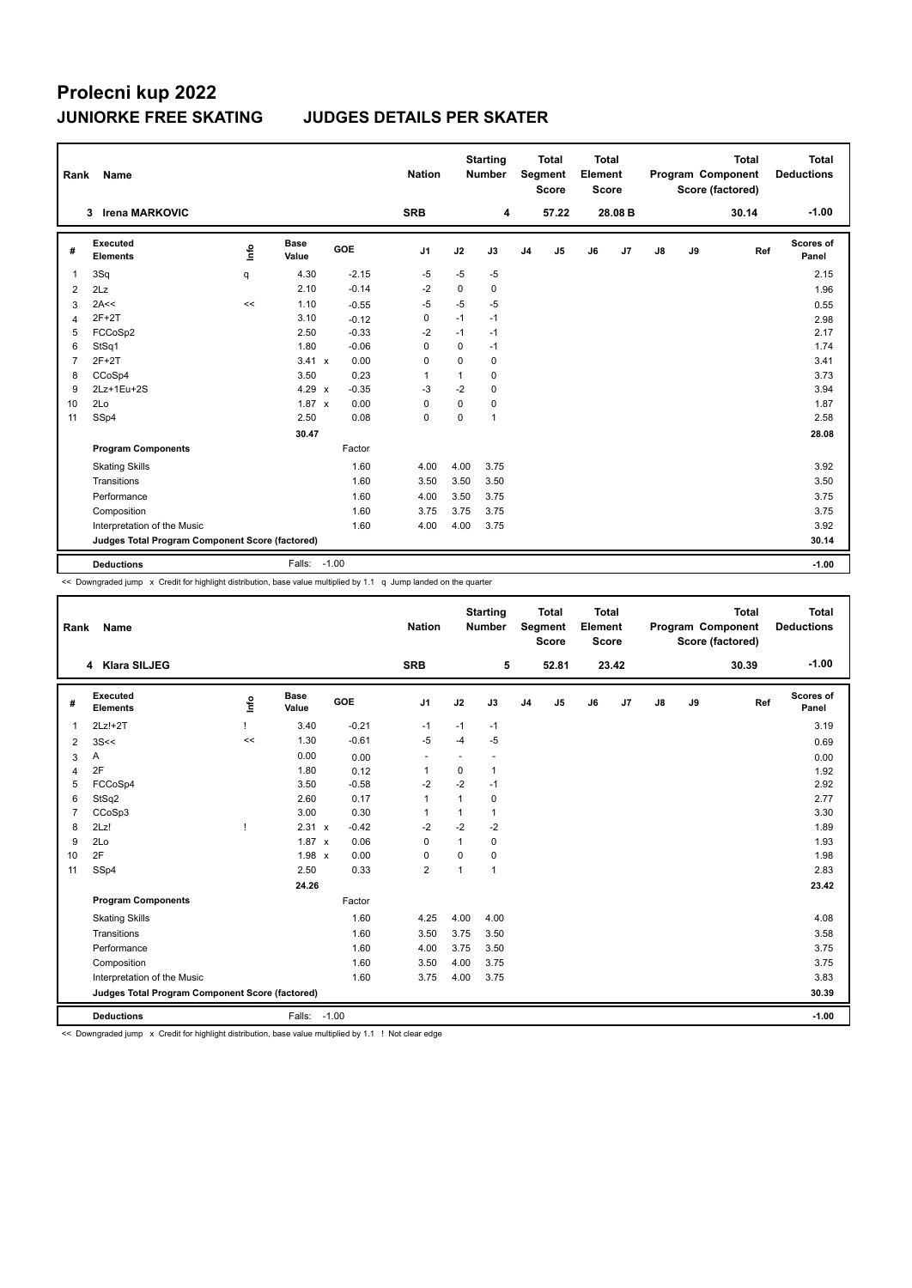# **Prolecni kup 2022**

### **JUNIORKE FREE SKATING JUDGES DETAILS PER SKATER**

| Rank           | Name                                            |      |                      |         | <b>Nation</b>  |              | <b>Starting</b><br><b>Number</b> |                | <b>Total</b><br>Segment<br><b>Score</b> | <b>Total</b><br>Element<br><b>Score</b> |         |    |    | <b>Total</b><br>Program Component<br>Score (factored) | <b>Total</b><br><b>Deductions</b> |
|----------------|-------------------------------------------------|------|----------------------|---------|----------------|--------------|----------------------------------|----------------|-----------------------------------------|-----------------------------------------|---------|----|----|-------------------------------------------------------|-----------------------------------|
|                | <b>Irena MARKOVIC</b><br>3                      |      |                      |         | <b>SRB</b>     |              | 4                                |                | 57.22                                   |                                         | 28.08 B |    |    | 30.14                                                 | $-1.00$                           |
| #              | Executed<br><b>Elements</b>                     | lnfo | <b>Base</b><br>Value | GOE     | J1             | J2           | J3                               | J <sub>4</sub> | J5                                      | J6                                      | J7      | J8 | J9 | Ref                                                   | <b>Scores of</b><br>Panel         |
| $\mathbf{1}$   | 3Sq                                             | q    | 4.30                 | $-2.15$ | $-5$           | $-5$         | $-5$                             |                |                                         |                                         |         |    |    |                                                       | 2.15                              |
| 2              | 2Lz                                             |      | 2.10                 | $-0.14$ | $-2$           | 0            | 0                                |                |                                         |                                         |         |    |    |                                                       | 1.96                              |
| 3              | 2A<<                                            | <<   | 1.10                 | $-0.55$ | $-5$           | $-5$         | $-5$                             |                |                                         |                                         |         |    |    |                                                       | 0.55                              |
| $\overline{4}$ | $2F+2T$                                         |      | 3.10                 | $-0.12$ | $\mathbf 0$    | $-1$         | $-1$                             |                |                                         |                                         |         |    |    |                                                       | 2.98                              |
| 5              | FCCoSp2                                         |      | 2.50                 | $-0.33$ | $-2$           | $-1$         | $-1$                             |                |                                         |                                         |         |    |    |                                                       | 2.17                              |
| 6              | StSq1                                           |      | 1.80                 | $-0.06$ | 0              | 0            | $-1$                             |                |                                         |                                         |         |    |    |                                                       | 1.74                              |
| $\overline{7}$ | $2F+2T$                                         |      | $3.41 \times$        | 0.00    | 0              | $\Omega$     | 0                                |                |                                         |                                         |         |    |    |                                                       | 3.41                              |
| 8              | CCoSp4                                          |      | 3.50                 | 0.23    | $\overline{1}$ | $\mathbf{1}$ | 0                                |                |                                         |                                         |         |    |    |                                                       | 3.73                              |
| 9              | 2Lz+1Eu+2S                                      |      | $4.29 \times$        | $-0.35$ | -3             | $-2$         | 0                                |                |                                         |                                         |         |    |    |                                                       | 3.94                              |
| 10             | 2Lo                                             |      | $1.87 \times$        | 0.00    | 0              | $\Omega$     | 0                                |                |                                         |                                         |         |    |    |                                                       | 1.87                              |
| 11             | SSp4                                            |      | 2.50                 | 0.08    | $\mathbf 0$    | 0            | 1                                |                |                                         |                                         |         |    |    |                                                       | 2.58                              |
|                |                                                 |      | 30.47                |         |                |              |                                  |                |                                         |                                         |         |    |    |                                                       | 28.08                             |
|                | <b>Program Components</b>                       |      |                      | Factor  |                |              |                                  |                |                                         |                                         |         |    |    |                                                       |                                   |
|                | <b>Skating Skills</b>                           |      |                      | 1.60    | 4.00           | 4.00         | 3.75                             |                |                                         |                                         |         |    |    |                                                       | 3.92                              |
|                | Transitions                                     |      |                      | 1.60    | 3.50           | 3.50         | 3.50                             |                |                                         |                                         |         |    |    |                                                       | 3.50                              |
|                | Performance                                     |      |                      | 1.60    | 4.00           | 3.50         | 3.75                             |                |                                         |                                         |         |    |    |                                                       | 3.75                              |
|                | Composition                                     |      |                      | 1.60    | 3.75           | 3.75         | 3.75                             |                |                                         |                                         |         |    |    |                                                       | 3.75                              |
|                | Interpretation of the Music                     |      |                      | 1.60    | 4.00           | 4.00         | 3.75                             |                |                                         |                                         |         |    |    |                                                       | 3.92                              |
|                | Judges Total Program Component Score (factored) |      |                      |         |                |              |                                  |                |                                         |                                         |         |    |    |                                                       | 30.14                             |
|                | <b>Deductions</b>                               |      | Falls:               | $-1.00$ |                |              |                                  |                |                                         |                                         |         |    |    |                                                       | $-1.00$                           |

<< Downgraded jump x Credit for highlight distribution, base value multiplied by 1.1 q Jump landed on the quarter

| Rank           | Name                                            |              |                      |         | <b>Nation</b>  |              | <b>Starting</b><br><b>Number</b> |                | <b>Total</b><br>Segment<br><b>Score</b> | <b>Total</b><br>Element<br><b>Score</b> |       |    |    | <b>Total</b><br>Program Component<br>Score (factored) | Total<br><b>Deductions</b> |
|----------------|-------------------------------------------------|--------------|----------------------|---------|----------------|--------------|----------------------------------|----------------|-----------------------------------------|-----------------------------------------|-------|----|----|-------------------------------------------------------|----------------------------|
|                | 4 Klara SILJEG                                  |              |                      |         | <b>SRB</b>     |              | 5                                |                | 52.81                                   |                                         | 23.42 |    |    | 30.39                                                 | $-1.00$                    |
| #              | <b>Executed</b><br><b>Elements</b>              | Info         | <b>Base</b><br>Value | GOE     | J <sub>1</sub> | J2           | J3                               | J <sub>4</sub> | J <sub>5</sub>                          | J6                                      | J7    | J8 | J9 | Ref                                                   | Scores of<br>Panel         |
| 1              | $2Lz!+2T$                                       |              | 3.40                 | $-0.21$ | $-1$           | $-1$         | $-1$                             |                |                                         |                                         |       |    |    |                                                       | 3.19                       |
| $\overline{2}$ | 3S<<                                            | <<           | 1.30                 | $-0.61$ | $-5$           | $-4$         | $-5$                             |                |                                         |                                         |       |    |    |                                                       | 0.69                       |
| 3              | Α                                               |              | 0.00                 | 0.00    | ٠              |              |                                  |                |                                         |                                         |       |    |    |                                                       | 0.00                       |
| 4              | 2F                                              |              | 1.80                 | 0.12    | $\mathbf{1}$   | 0            | $\mathbf{1}$                     |                |                                         |                                         |       |    |    |                                                       | 1.92                       |
| 5              | FCCoSp4                                         |              | 3.50                 | $-0.58$ | $-2$           | $-2$         | $-1$                             |                |                                         |                                         |       |    |    |                                                       | 2.92                       |
| 6              | StSq2                                           |              | 2.60                 | 0.17    | 1              | 1            | $\mathbf 0$                      |                |                                         |                                         |       |    |    |                                                       | 2.77                       |
| $\overline{7}$ | CCoSp3                                          |              | 3.00                 | 0.30    | 1              | 1            | $\mathbf{1}$                     |                |                                         |                                         |       |    |    |                                                       | 3.30                       |
| 8              | 2Lz!                                            | $\mathsf{I}$ | 2.31 x               | $-0.42$ | $-2$           | $-2$         | $-2$                             |                |                                         |                                         |       |    |    |                                                       | 1.89                       |
| 9              | 2Lo                                             |              | $1.87 \times$        | 0.06    | $\Omega$       | $\mathbf{1}$ | $\mathbf 0$                      |                |                                         |                                         |       |    |    |                                                       | 1.93                       |
| 10             | 2F                                              |              | $1.98 \times$        | 0.00    | $\mathbf 0$    | $\mathbf 0$  | $\mathbf 0$                      |                |                                         |                                         |       |    |    |                                                       | 1.98                       |
| 11             | SSp4                                            |              | 2.50                 | 0.33    | $\overline{2}$ | $\mathbf{1}$ | $\mathbf{1}$                     |                |                                         |                                         |       |    |    |                                                       | 2.83                       |
|                |                                                 |              | 24.26                |         |                |              |                                  |                |                                         |                                         |       |    |    |                                                       | 23.42                      |
|                | <b>Program Components</b>                       |              |                      | Factor  |                |              |                                  |                |                                         |                                         |       |    |    |                                                       |                            |
|                | <b>Skating Skills</b>                           |              |                      | 1.60    | 4.25           | 4.00         | 4.00                             |                |                                         |                                         |       |    |    |                                                       | 4.08                       |
|                | Transitions                                     |              |                      | 1.60    | 3.50           | 3.75         | 3.50                             |                |                                         |                                         |       |    |    |                                                       | 3.58                       |
|                | Performance                                     |              |                      | 1.60    | 4.00           | 3.75         | 3.50                             |                |                                         |                                         |       |    |    |                                                       | 3.75                       |
|                | Composition                                     |              |                      | 1.60    | 3.50           | 4.00         | 3.75                             |                |                                         |                                         |       |    |    |                                                       | 3.75                       |
|                | Interpretation of the Music                     |              |                      | 1.60    | 3.75           | 4.00         | 3.75                             |                |                                         |                                         |       |    |    |                                                       | 3.83                       |
|                | Judges Total Program Component Score (factored) |              |                      |         |                |              |                                  |                |                                         |                                         |       |    |    |                                                       | 30.39                      |
|                | <b>Deductions</b>                               |              | Falls: -1.00         |         |                |              |                                  |                |                                         |                                         |       |    |    |                                                       | $-1.00$                    |

<< Downgraded jump x Credit for highlight distribution, base value multiplied by 1.1 ! Not clear edge